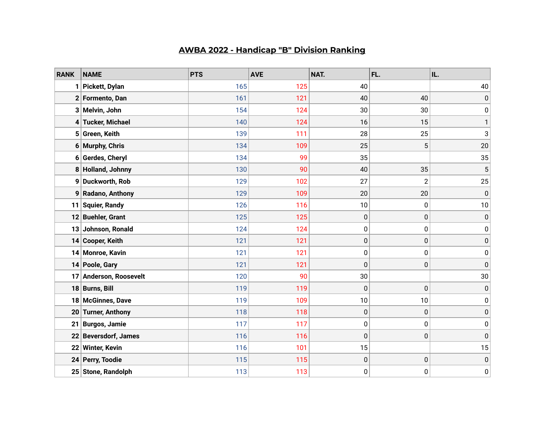## **AWBA 2022 - Handicap "B" Division Ranking**

| <b>RANK</b> | <b>NAME</b>              | <b>PTS</b> | <b>AVE</b> | NAT.      | FL.            | IL.       |
|-------------|--------------------------|------------|------------|-----------|----------------|-----------|
|             | Pickett, Dylan           | 165        | 125        | 40        |                | 40        |
| 2           | Formento, Dan            | 161        | 121        | 40        | 40             | 0         |
|             | 3 Melvin, John           | 154        | 124        | 30        | 30             | $\pmb{0}$ |
|             | 4 Tucker, Michael        | 140        | 124        | 16        | 15             | 1         |
|             | 5 Green, Keith           | 139        | 111        | 28        | 25             | 3         |
|             | 6 Murphy, Chris          | 134        | 109        | 25        | 5              | 20        |
|             | 6 Gerdes, Cheryl         | 134        | 99         | 35        |                | 35        |
|             | 8 Holland, Johnny        | 130        | 90         | 40        | 35             | 5         |
|             | 9 Duckworth, Rob         | 129        | 102        | 27        | $\overline{c}$ | 25        |
|             | 9 Radano, Anthony        | 129        | 109        | 20        | 20             | $\pmb{0}$ |
| 11          | <b>Squier, Randy</b>     | 126        | 116        | 10        | 0              | 10        |
| 12          | <b>Buehler, Grant</b>    | 125        | 125        | 0         | $\mathbf 0$    | $\pmb{0}$ |
| 13          | Johnson, Ronald          | 124        | 124        | 0         | $\mathbf 0$    | 0         |
| 14          | <b>Cooper, Keith</b>     | 121        | 121        | $\pmb{0}$ | $\mathbf 0$    | $\pmb{0}$ |
|             | 14 Monroe, Kavin         | 121        | 121        | 0         | $\mathbf 0$    | $\pmb{0}$ |
| 14          | Poole, Gary              | 121        | 121        | 0         | $\mathbf 0$    | 0         |
| 17          | Anderson, Roosevelt      | 120        | 90         | 30        |                | 30        |
| 18          | <b>Burns, Bill</b>       | 119        | 119        | $\pmb{0}$ | $\mathbf 0$    | 0         |
| 18          | <b>McGinnes, Dave</b>    | 119        | 109        | 10        | 10             | $\pmb{0}$ |
| 20          | <b>Turner, Anthony</b>   | 118        | 118        | $\pmb{0}$ | $\mathbf 0$    | $\pmb{0}$ |
| 21          | <b>Burgos, Jamie</b>     | 117        | 117        | 0         | $\mathbf 0$    | $\pmb{0}$ |
| 22          | <b>Beversdorf, James</b> | 116        | 116        | 0         | $\mathbf 0$    | $\pmb{0}$ |
| 22          | <b>Winter, Kevin</b>     | 116        | 101        | 15        |                | 15        |
| 24          | Perry, Toodie            | 115        | 115        | $\pmb{0}$ | $\mathbf 0$    | 0         |
|             | 25 Stone, Randolph       | 113        | 113        | 0         | $\pmb{0}$      | $\pmb{0}$ |